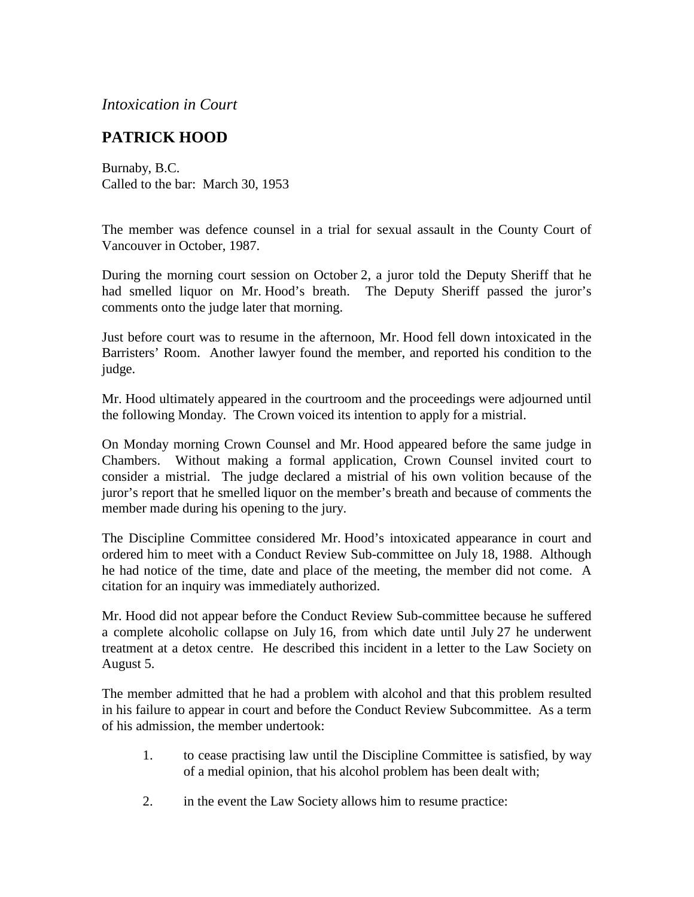*Intoxication in Court*

## **PATRICK HOOD**

Burnaby, B.C. Called to the bar: March 30, 1953

The member was defence counsel in a trial for sexual assault in the County Court of Vancouver in October, 1987.

During the morning court session on October 2, a juror told the Deputy Sheriff that he had smelled liquor on Mr. Hood's breath. The Deputy Sheriff passed the juror's comments onto the judge later that morning.

Just before court was to resume in the afternoon, Mr. Hood fell down intoxicated in the Barristers' Room. Another lawyer found the member, and reported his condition to the judge.

Mr. Hood ultimately appeared in the courtroom and the proceedings were adjourned until the following Monday. The Crown voiced its intention to apply for a mistrial.

On Monday morning Crown Counsel and Mr. Hood appeared before the same judge in Chambers. Without making a formal application, Crown Counsel invited court to consider a mistrial. The judge declared a mistrial of his own volition because of the juror's report that he smelled liquor on the member's breath and because of comments the member made during his opening to the jury.

The Discipline Committee considered Mr. Hood's intoxicated appearance in court and ordered him to meet with a Conduct Review Sub-committee on July 18, 1988. Although he had notice of the time, date and place of the meeting, the member did not come. A citation for an inquiry was immediately authorized.

Mr. Hood did not appear before the Conduct Review Sub-committee because he suffered a complete alcoholic collapse on July 16, from which date until July 27 he underwent treatment at a detox centre. He described this incident in a letter to the Law Society on August 5.

The member admitted that he had a problem with alcohol and that this problem resulted in his failure to appear in court and before the Conduct Review Subcommittee. As a term of his admission, the member undertook:

- 1. to cease practising law until the Discipline Committee is satisfied, by way of a medial opinion, that his alcohol problem has been dealt with;
- 2. in the event the Law Society allows him to resume practice: